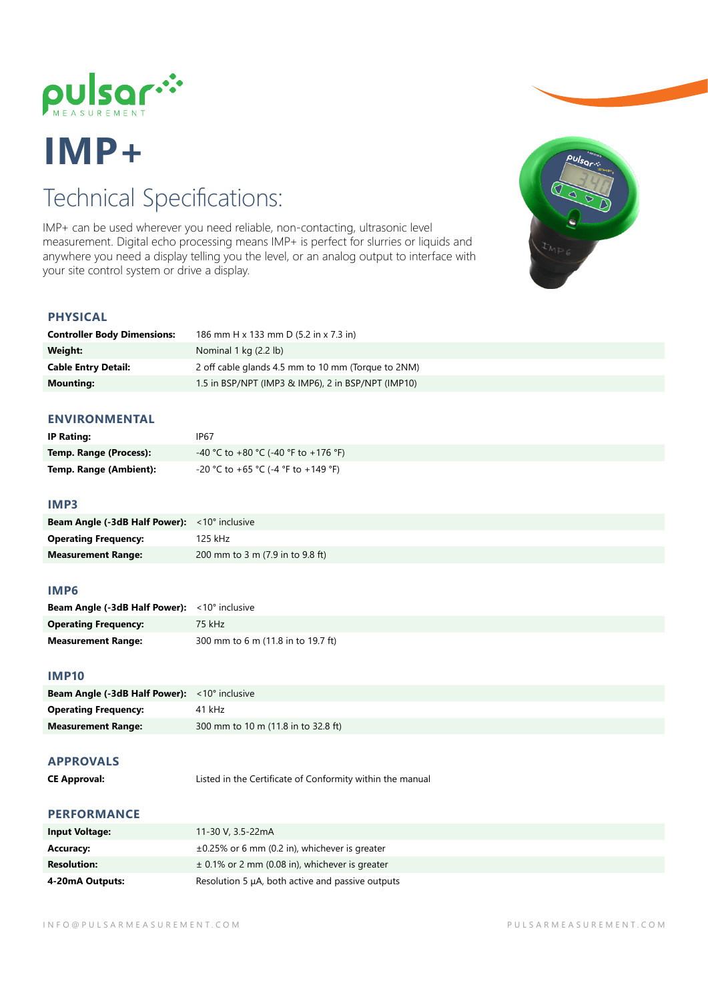

# **IMP+**

## Technical Specifications:

IMP+ can be used wherever you need reliable, non-contacting, ultrasonic level measurement. Digital echo processing means IMP+ is perfect for slurries or liquids and anywhere you need a display telling you the level, or an analog output to interface with your site control system or drive a display.



### **PHYSICAL**

| <b>Controller Body Dimensions:</b> | 186 mm H x 133 mm D (5.2 in x 7.3 in)              |
|------------------------------------|----------------------------------------------------|
| Weight:                            | Nominal $1$ kg $(2.2 \text{ lb})$                  |
| <b>Cable Entry Detail:</b>         | 2 off cable glands 4.5 mm to 10 mm (Torque to 2NM) |
| <b>Mounting:</b>                   | 1.5 in BSP/NPT (IMP3 & IMP6), 2 in BSP/NPT (IMP10) |

#### **ENVIRONMENTAL**

| <b>IP Rating:</b>      | IP67                                 |
|------------------------|--------------------------------------|
| Temp. Range (Process): | -40 °C to +80 °C (-40 °F to +176 °F) |
| Temp. Range (Ambient): | -20 °C to +65 °C (-4 °F to +149 °F)  |

#### **IMP3**

| <b>Beam Angle (-3dB Half Power):</b> <10° inclusive |                                  |
|-----------------------------------------------------|----------------------------------|
| <b>Operating Frequency:</b>                         | 125 kHz                          |
| <b>Measurement Range:</b>                           | 200 mm to 3 m (7.9 in to 9.8 ft) |

#### **IMP6**

| <b>Beam Angle (-3dB Half Power):</b> <10° inclusive |                                    |
|-----------------------------------------------------|------------------------------------|
| <b>Operating Frequency:</b>                         | 75 kHz                             |
| <b>Measurement Range:</b>                           | 300 mm to 6 m (11.8 in to 19.7 ft) |

#### **IMP10**

| <b>Beam Angle (-3dB Half Power):</b> $\langle 10^\circ \text{ inclusive} \rangle$ |                                     |
|-----------------------------------------------------------------------------------|-------------------------------------|
| <b>Operating Frequency:</b>                                                       | 41 kHz                              |
| <b>Measurement Range:</b>                                                         | 300 mm to 10 m (11.8 in to 32.8 ft) |

#### **APPROVALS**

**CE Approval:** Listed in the Certificate of Conformity within the manual

### **PERFORMANCE**

| <b>Input Voltage:</b> | 11-30 V, 3.5-22mA                                   |
|-----------------------|-----------------------------------------------------|
| <b>Accuracy:</b>      | $\pm 0.25\%$ or 6 mm (0.2 in), whichever is greater |
| <b>Resolution:</b>    | $\pm$ 0.1% or 2 mm (0.08 in), whichever is greater  |
| 4-20mA Outputs:       | Resolution 5 µA, both active and passive outputs    |